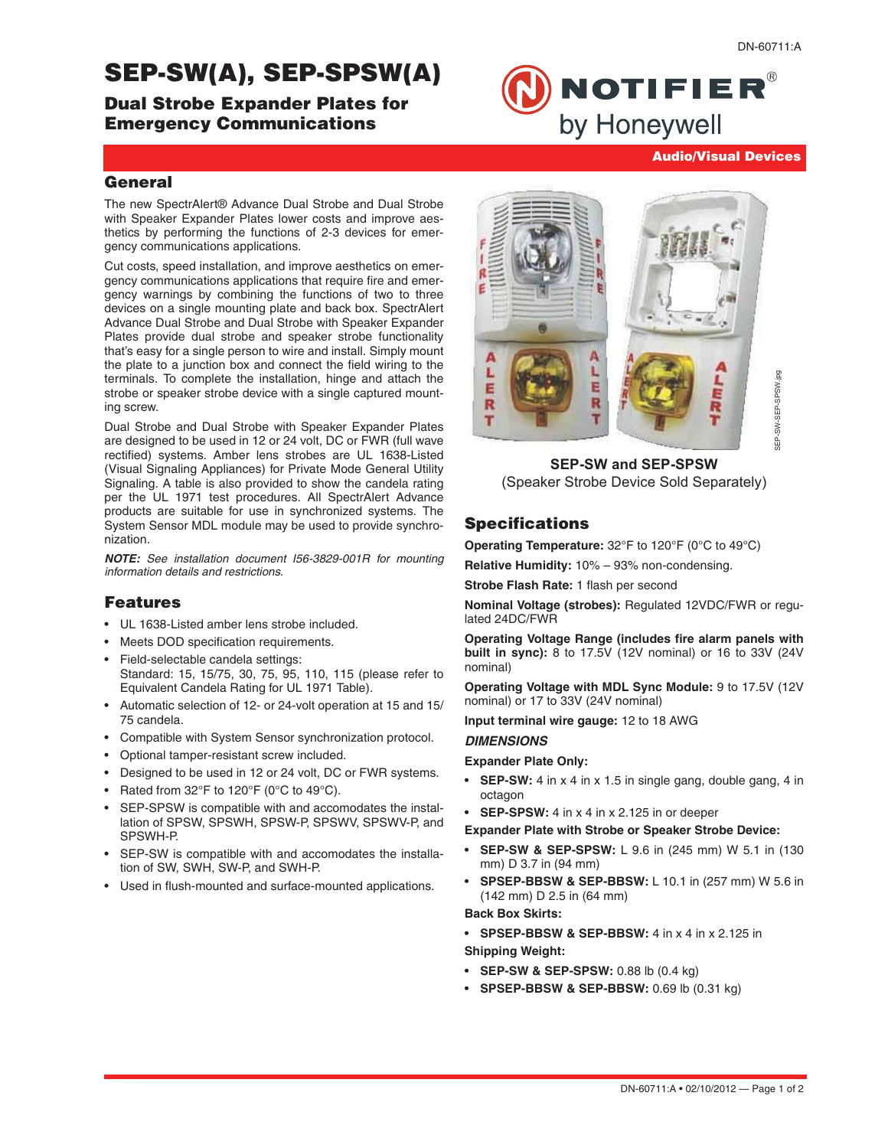# SEP-SW(A), SEP-SPSW(A)

Dual Strobe Expander Plates for Emergency Communications

**NOTIFIER®** by Honeywell

### **General**

The new SpectrAlert® Advance Dual Strobe and Dual Strobe with Speaker Expander Plates lower costs and improve aesthetics by performing the functions of 2-3 devices for emergency communications applications.

Cut costs, speed installation, and improve aesthetics on emergency communications applications that require fire and emergency warnings by combining the functions of two to three devices on a single mounting plate and back box. SpectrAlert Advance Dual Strobe and Dual Strobe with Speaker Expander Plates provide dual strobe and speaker strobe functionality that's easy for a single person to wire and install. Simply mount the plate to a junction box and connect the field wiring to the terminals. To complete the installation, hinge and attach the strobe or speaker strobe device with a single captured mounting screw.

Dual Strobe and Dual Strobe with Speaker Expander Plates are designed to be used in 12 or 24 volt, DC or FWR (full wave rectified) systems. Amber lens strobes are UL 1638-Listed (Visual Signaling Appliances) for Private Mode General Utility Signaling. A table is also provided to show the candela rating per the UL 1971 test procedures. All SpectrAlert Advance products are suitable for use in synchronized systems. The System Sensor MDL module may be used to provide synchronization.

**NOTE:** See installation document I56-3829-001R for mounting information details and restrictions.

#### Features

- UL 1638-Listed amber lens strobe included.
- Meets DOD specification requirements.
- Field-selectable candela settings: Standard: 15, 15/75, 30, 75, 95, 110, 115 (please refer to Equivalent Candela Rating for UL 1971 Table).
- Automatic selection of 12- or 24-volt operation at 15 and 15/ 75 candela.
- Compatible with System Sensor synchronization protocol.
- Optional tamper-resistant screw included.
- Designed to be used in 12 or 24 volt, DC or FWR systems.
- Rated from 32°F to 120°F (0°C to 49°C).
- SEP-SPSW is compatible with and accomodates the installation of SPSW, SPSWH, SPSW-P, SPSWV, SPSWV-P, and SPSWH-P.
- SEP-SW is compatible with and accomodates the installation of SW, SWH, SW-P, and SWH-P.
- Used in flush-mounted and surface-mounted applications.



**SEP-SW and SEP-SPSW**  (Speaker Strobe Device Sold Separately)

## **Specifications**

**Operating Temperature:** 32°F to 120°F (0°C to 49°C)

**Relative Humidity:** 10% – 93% non-condensing.

**Strobe Flash Rate:** 1 flash per second

**Nominal Voltage (strobes):** Regulated 12VDC/FWR or regulated 24DC/FWR

**Operating Voltage Range (includes fire alarm panels with built in sync):** 8 to 17.5V (12V nominal) or 16 to 33V (24V nominal)

**Operating Voltage with MDL Sync Module:** 9 to 17.5V (12V nominal) or 17 to 33V (24V nominal)

**Input terminal wire gauge:** 12 to 18 AWG

#### **DIMENSIONS**

#### **Expander Plate Only:**

- **SEP-SW:** 4 in x 4 in x 1.5 in single gang, double gang, 4 in octagon
- **SEP-SPSW:** 4 in x 4 in x 2.125 in or deeper
- **Expander Plate with Strobe or Speaker Strobe Device:**
- **SEP-SW & SEP-SPSW:** L 9.6 in (245 mm) W 5.1 in (130 mm) D 3.7 in (94 mm)
- **SPSEP-BBSW & SEP-BBSW:** L 10.1 in (257 mm) W 5.6 in (142 mm) D 2.5 in (64 mm)

**Back Box Skirts:** 

- **SPSEP-BBSW & SEP-BBSW:** 4 in x 4 in x 2.125 in
- **Shipping Weight:**
- **SEP-SW & SEP-SPSW:** 0.88 lb (0.4 kg)
- **SPSEP-BBSW & SEP-BBSW:** 0.69 lb (0.31 kg)

Audio/Visual Devices